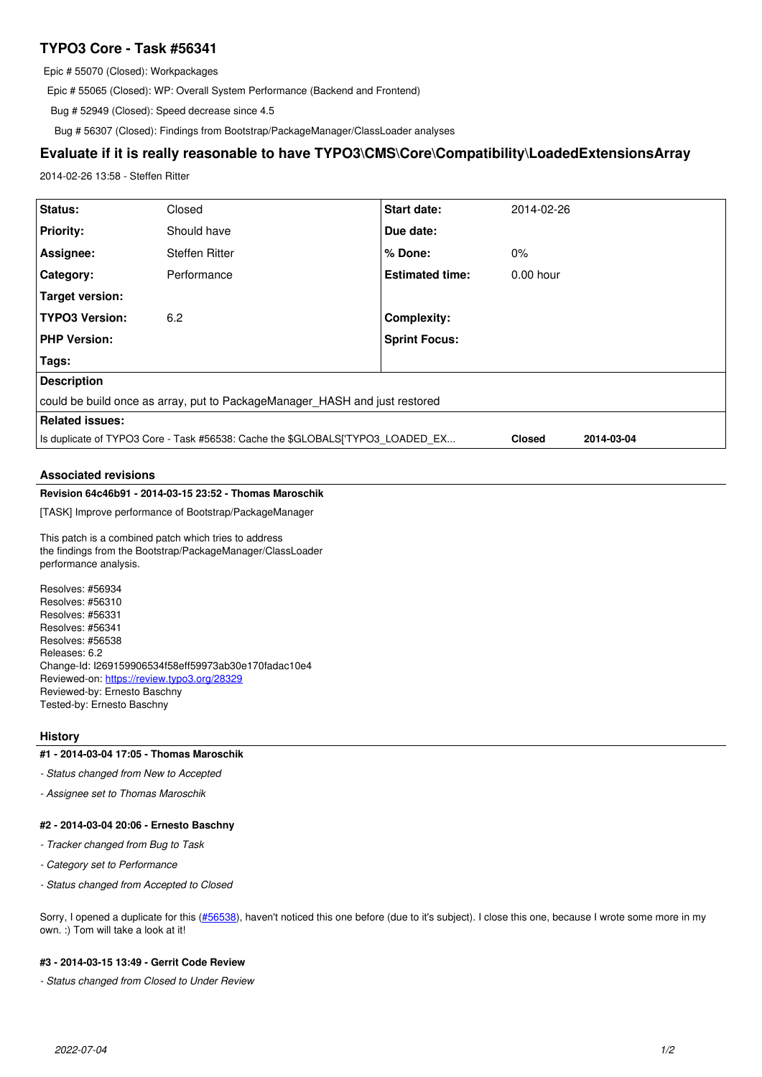# **TYPO3 Core - Task #56341**

Epic # 55070 (Closed): Workpackages

Epic # 55065 (Closed): WP: Overall System Performance (Backend and Frontend)

Bug # 52949 (Closed): Speed decrease since 4.5

Bug # 56307 (Closed): Findings from Bootstrap/PackageManager/ClassLoader analyses

## **Evaluate if it is really reasonable to have TYPO3\CMS\Core\Compatibility\LoadedExtensionsArray**

2014-02-26 13:58 - Steffen Ritter

| Status:                                                                                                       | Closed                | <b>Start date:</b>     | 2014-02-26  |
|---------------------------------------------------------------------------------------------------------------|-----------------------|------------------------|-------------|
| <b>Priority:</b>                                                                                              | Should have           | Due date:              |             |
| Assignee:                                                                                                     | <b>Steffen Ritter</b> | $%$ Done:              | $0\%$       |
| <b>Category:</b>                                                                                              | Performance           | <b>Estimated time:</b> | $0.00$ hour |
| Target version:                                                                                               |                       |                        |             |
| <b>TYPO3 Version:</b>                                                                                         | 6.2                   | <b>Complexity:</b>     |             |
| <b>PHP Version:</b>                                                                                           |                       | <b>Sprint Focus:</b>   |             |
| Tags:                                                                                                         |                       |                        |             |
| <b>Description</b>                                                                                            |                       |                        |             |
| could be build once as array, put to PackageManager HASH and just restored                                    |                       |                        |             |
| <b>Related issues:</b>                                                                                        |                       |                        |             |
| Is duplicate of TYPO3 Core - Task #56538: Cache the \$GLOBALS['TYPO3 LOADED EX<br><b>Closed</b><br>2014-03-04 |                       |                        |             |
|                                                                                                               |                       |                        |             |

## **Associated revisions**

## **Revision 64c46b91 - 2014-03-15 23:52 - Thomas Maroschik**

[TASK] Improve performance of Bootstrap/PackageManager

This patch is a combined patch which tries to address the findings from the Bootstrap/PackageManager/ClassLoader performance analysis.

Resolves: #56934 Resolves: #56310 Resolves: #56331 Resolves: #56341 Resolves: #56538 Releases: 6.2 Change-Id: I269159906534f58eff59973ab30e170fadac10e4 Reviewed-on:<https://review.typo3.org/28329> Reviewed-by: Ernesto Baschny Tested-by: Ernesto Baschny

## **History**

#### **#1 - 2014-03-04 17:05 - Thomas Maroschik**

- *Status changed from New to Accepted*
- *Assignee set to Thomas Maroschik*

#### **#2 - 2014-03-04 20:06 - Ernesto Baschny**

- *Tracker changed from Bug to Task*
- *Category set to Performance*
- *Status changed from Accepted to Closed*

Sorry, I opened a duplicate for this ([#56538\)](https://forge.typo3.org/issues/56538), haven't noticed this one before (due to it's subject). I close this one, because I wrote some more in my own. :) Tom will take a look at it!

### **#3 - 2014-03-15 13:49 - Gerrit Code Review**

*- Status changed from Closed to Under Review*